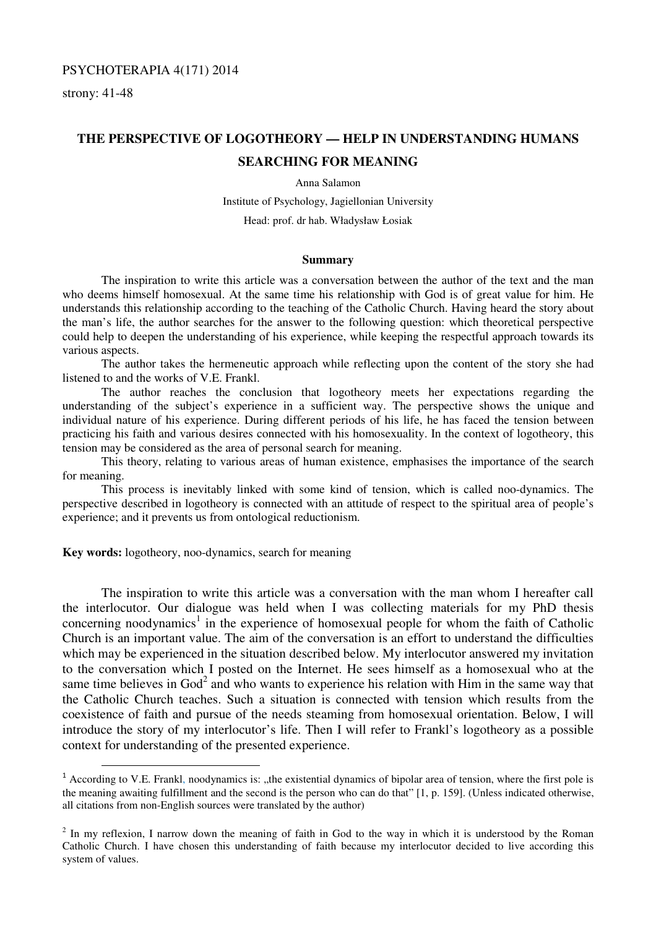## PSYCHOTERAPIA 4(171) 2014

strony: 41-48

l

# **THE PERSPECTIVE OF LOGOTHEORY — HELP IN UNDERSTANDING HUMANS**

# **SEARCHING FOR MEANING**

Anna Salamon

Institute of Psychology, Jagiellonian University Head: prof. dr hab. Władysław Łosiak

#### **Summary**

The inspiration to write this article was a conversation between the author of the text and the man who deems himself homosexual. At the same time his relationship with God is of great value for him. He understands this relationship according to the teaching of the Catholic Church. Having heard the story about the man's life, the author searches for the answer to the following question: which theoretical perspective could help to deepen the understanding of his experience, while keeping the respectful approach towards its various aspects.

The author takes the hermeneutic approach while reflecting upon the content of the story she had listened to and the works of V.E. Frankl.

 The author reaches the conclusion that logotheory meets her expectations regarding the understanding of the subject's experience in a sufficient way. The perspective shows the unique and individual nature of his experience. During different periods of his life, he has faced the tension between practicing his faith and various desires connected with his homosexuality. In the context of logotheory, this tension may be considered as the area of personal search for meaning.

This theory, relating to various areas of human existence, emphasises the importance of the search for meaning.

This process is inevitably linked with some kind of tension, which is called noo-dynamics. The perspective described in logotheory is connected with an attitude of respect to the spiritual area of people's experience; and it prevents us from ontological reductionism.

**Key words:** logotheory, noo-dynamics, search for meaning

The inspiration to write this article was a conversation with the man whom I hereafter call the interlocutor. Our dialogue was held when I was collecting materials for my PhD thesis concerning noodynamics<sup>1</sup> in the experience of homosexual people for whom the faith of Catholic Church is an important value. The aim of the conversation is an effort to understand the difficulties which may be experienced in the situation described below. My interlocutor answered my invitation to the conversation which I posted on the Internet. He sees himself as a homosexual who at the same time believes in God<sup>2</sup> and who wants to experience his relation with Him in the same way that the Catholic Church teaches. Such a situation is connected with tension which results from the coexistence of faith and pursue of the needs steaming from homosexual orientation. Below, I will introduce the story of my interlocutor's life. Then I will refer to Frankl's logotheory as a possible context for understanding of the presented experience.

 $1$  According to V.E. Frankl, noodynamics is: "the existential dynamics of bipolar area of tension, where the first pole is the meaning awaiting fulfillment and the second is the person who can do that" [1, p. 159]. (Unless indicated otherwise, all citations from non-English sources were translated by the author)

 $2$  In my reflexion, I narrow down the meaning of faith in God to the way in which it is understood by the Roman Catholic Church. I have chosen this understanding of faith because my interlocutor decided to live according this system of values.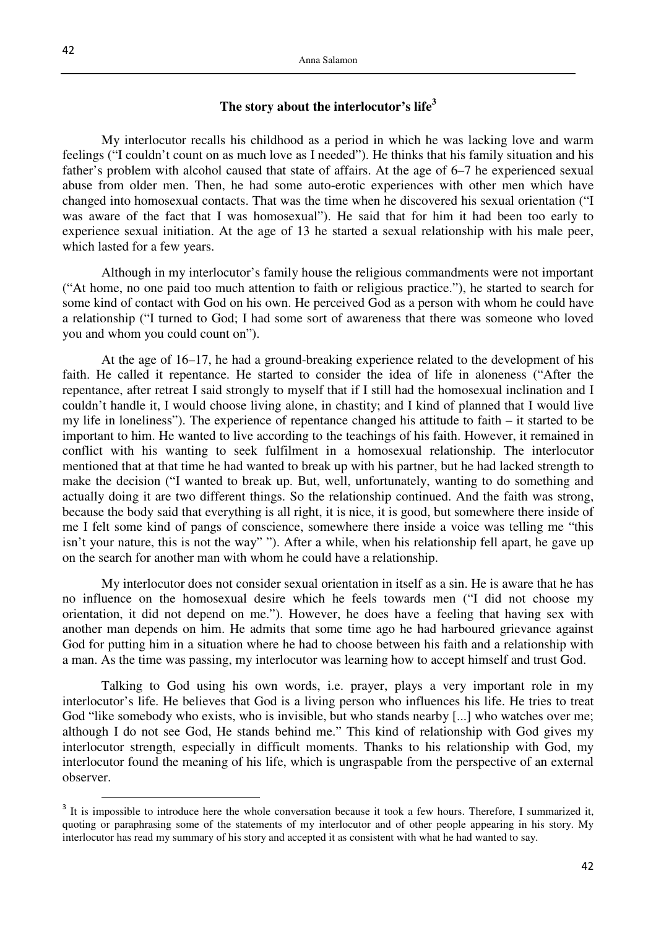# **The story about the interlocutor's life<sup>3</sup>**

My interlocutor recalls his childhood as a period in which he was lacking love and warm feelings ("I couldn't count on as much love as I needed"). He thinks that his family situation and his father's problem with alcohol caused that state of affairs. At the age of 6–7 he experienced sexual abuse from older men. Then, he had some auto-erotic experiences with other men which have changed into homosexual contacts. That was the time when he discovered his sexual orientation ("I was aware of the fact that I was homosexual"). He said that for him it had been too early to experience sexual initiation. At the age of 13 he started a sexual relationship with his male peer, which lasted for a few years.

Although in my interlocutor's family house the religious commandments were not important ("At home, no one paid too much attention to faith or religious practice."), he started to search for some kind of contact with God on his own. He perceived God as a person with whom he could have a relationship ("I turned to God; I had some sort of awareness that there was someone who loved you and whom you could count on").

At the age of 16–17, he had a ground-breaking experience related to the development of his faith. He called it repentance. He started to consider the idea of life in aloneness ("After the repentance, after retreat I said strongly to myself that if I still had the homosexual inclination and I couldn't handle it, I would choose living alone, in chastity; and I kind of planned that I would live my life in loneliness"). The experience of repentance changed his attitude to faith – it started to be important to him. He wanted to live according to the teachings of his faith. However, it remained in conflict with his wanting to seek fulfilment in a homosexual relationship. The interlocutor mentioned that at that time he had wanted to break up with his partner, but he had lacked strength to make the decision ("I wanted to break up. But, well, unfortunately, wanting to do something and actually doing it are two different things. So the relationship continued. And the faith was strong, because the body said that everything is all right, it is nice, it is good, but somewhere there inside of me I felt some kind of pangs of conscience, somewhere there inside a voice was telling me "this isn't your nature, this is not the way" "). After a while, when his relationship fell apart, he gave up on the search for another man with whom he could have a relationship.

My interlocutor does not consider sexual orientation in itself as a sin. He is aware that he has no influence on the homosexual desire which he feels towards men ("I did not choose my orientation, it did not depend on me."). However, he does have a feeling that having sex with another man depends on him. He admits that some time ago he had harboured grievance against God for putting him in a situation where he had to choose between his faith and a relationship with a man. As the time was passing, my interlocutor was learning how to accept himself and trust God.

Talking to God using his own words, i.e. prayer, plays a very important role in my interlocutor's life. He believes that God is a living person who influences his life. He tries to treat God "like somebody who exists, who is invisible, but who stands nearby [...] who watches over me; although I do not see God, He stands behind me." This kind of relationship with God gives my interlocutor strength, especially in difficult moments. Thanks to his relationship with God, my interlocutor found the meaning of his life, which is ungraspable from the perspective of an external observer.

l

<sup>&</sup>lt;sup>3</sup> It is impossible to introduce here the whole conversation because it took a few hours. Therefore, I summarized it, quoting or paraphrasing some of the statements of my interlocutor and of other people appearing in his story. My interlocutor has read my summary of his story and accepted it as consistent with what he had wanted to say.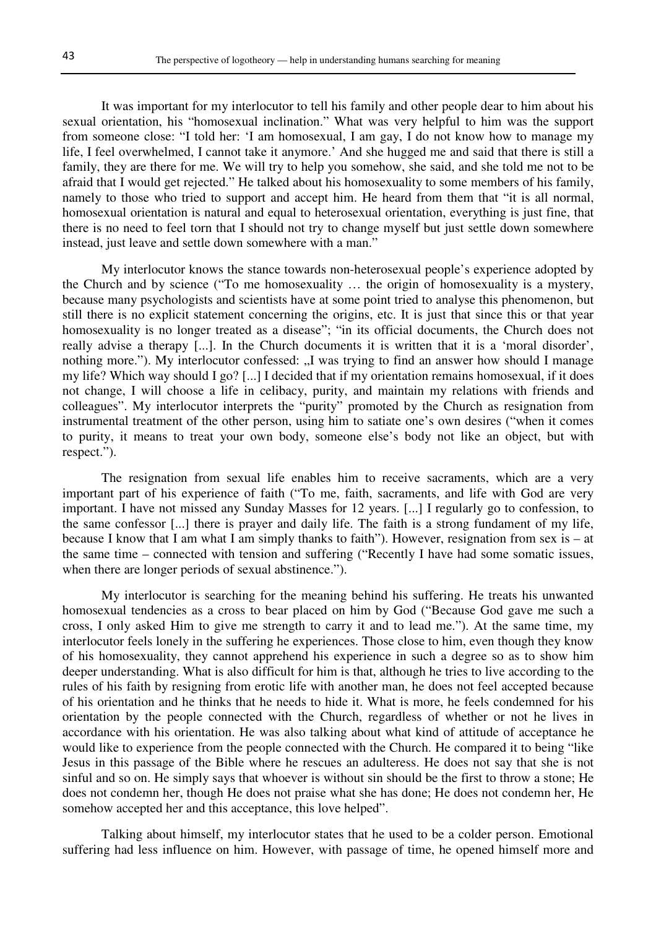It was important for my interlocutor to tell his family and other people dear to him about his sexual orientation, his "homosexual inclination." What was very helpful to him was the support from someone close: "I told her: 'I am homosexual, I am gay, I do not know how to manage my life, I feel overwhelmed, I cannot take it anymore.' And she hugged me and said that there is still a family, they are there for me. We will try to help you somehow, she said, and she told me not to be afraid that I would get rejected." He talked about his homosexuality to some members of his family, namely to those who tried to support and accept him. He heard from them that "it is all normal, homosexual orientation is natural and equal to heterosexual orientation, everything is just fine, that there is no need to feel torn that I should not try to change myself but just settle down somewhere instead, just leave and settle down somewhere with a man."

My interlocutor knows the stance towards non-heterosexual people's experience adopted by the Church and by science ("To me homosexuality … the origin of homosexuality is a mystery, because many psychologists and scientists have at some point tried to analyse this phenomenon, but still there is no explicit statement concerning the origins, etc. It is just that since this or that year homosexuality is no longer treated as a disease"; "in its official documents, the Church does not really advise a therapy [...]. In the Church documents it is written that it is a 'moral disorder', nothing more."). My interlocutor confessed: "I was trying to find an answer how should I manage my life? Which way should I go? [...] I decided that if my orientation remains homosexual, if it does not change, I will choose a life in celibacy, purity, and maintain my relations with friends and colleagues". My interlocutor interprets the "purity" promoted by the Church as resignation from instrumental treatment of the other person, using him to satiate one's own desires ("when it comes to purity, it means to treat your own body, someone else's body not like an object, but with respect.").

The resignation from sexual life enables him to receive sacraments, which are a very important part of his experience of faith ("To me, faith, sacraments, and life with God are very important. I have not missed any Sunday Masses for 12 years. [...] I regularly go to confession, to the same confessor [...] there is prayer and daily life. The faith is a strong fundament of my life, because I know that I am what I am simply thanks to faith"). However, resignation from sex is – at the same time – connected with tension and suffering ("Recently I have had some somatic issues, when there are longer periods of sexual abstinence.").

My interlocutor is searching for the meaning behind his suffering. He treats his unwanted homosexual tendencies as a cross to bear placed on him by God ("Because God gave me such a cross, I only asked Him to give me strength to carry it and to lead me."). At the same time, my interlocutor feels lonely in the suffering he experiences. Those close to him, even though they know of his homosexuality, they cannot apprehend his experience in such a degree so as to show him deeper understanding. What is also difficult for him is that, although he tries to live according to the rules of his faith by resigning from erotic life with another man, he does not feel accepted because of his orientation and he thinks that he needs to hide it. What is more, he feels condemned for his orientation by the people connected with the Church, regardless of whether or not he lives in accordance with his orientation. He was also talking about what kind of attitude of acceptance he would like to experience from the people connected with the Church. He compared it to being "like Jesus in this passage of the Bible where he rescues an adulteress. He does not say that she is not sinful and so on. He simply says that whoever is without sin should be the first to throw a stone; He does not condemn her, though He does not praise what she has done; He does not condemn her, He somehow accepted her and this acceptance, this love helped".

Talking about himself, my interlocutor states that he used to be a colder person. Emotional suffering had less influence on him. However, with passage of time, he opened himself more and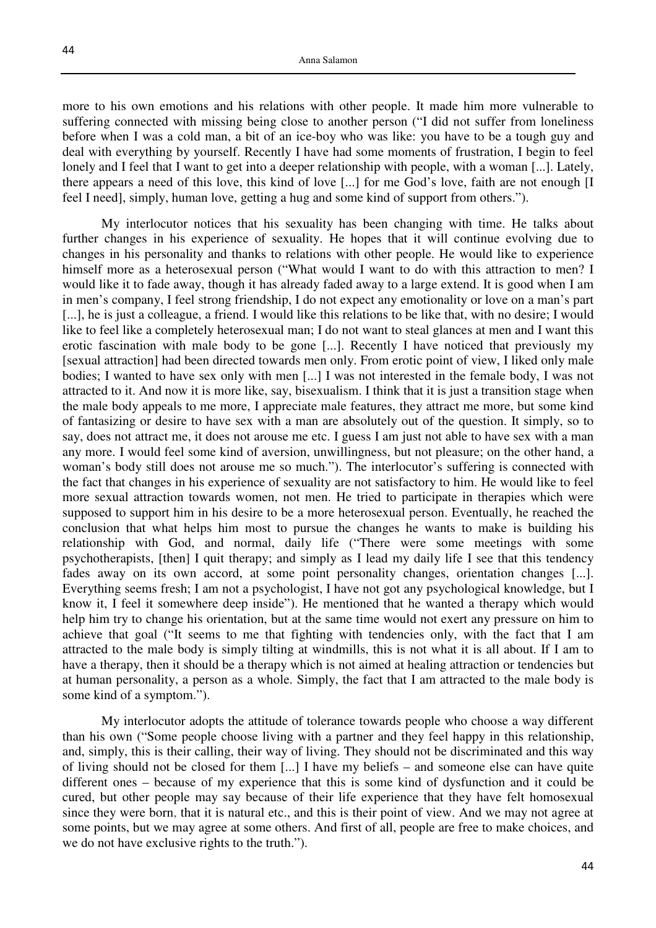more to his own emotions and his relations with other people. It made him more vulnerable to suffering connected with missing being close to another person ("I did not suffer from loneliness before when I was a cold man, a bit of an ice-boy who was like: you have to be a tough guy and deal with everything by yourself. Recently I have had some moments of frustration, I begin to feel lonely and I feel that I want to get into a deeper relationship with people, with a woman [...]. Lately, there appears a need of this love, this kind of love [...] for me God's love, faith are not enough [I feel I need], simply, human love, getting a hug and some kind of support from others.").

My interlocutor notices that his sexuality has been changing with time. He talks about further changes in his experience of sexuality. He hopes that it will continue evolving due to changes in his personality and thanks to relations with other people. He would like to experience himself more as a heterosexual person ("What would I want to do with this attraction to men? I would like it to fade away, though it has already faded away to a large extend. It is good when I am in men's company, I feel strong friendship, I do not expect any emotionality or love on a man's part [...], he is just a colleague, a friend. I would like this relations to be like that, with no desire; I would like to feel like a completely heterosexual man; I do not want to steal glances at men and I want this erotic fascination with male body to be gone [...]. Recently I have noticed that previously my [sexual attraction] had been directed towards men only. From erotic point of view, I liked only male bodies; I wanted to have sex only with men [...] I was not interested in the female body, I was not attracted to it. And now it is more like, say, bisexualism. I think that it is just a transition stage when the male body appeals to me more, I appreciate male features, they attract me more, but some kind of fantasizing or desire to have sex with a man are absolutely out of the question. It simply, so to say, does not attract me, it does not arouse me etc. I guess I am just not able to have sex with a man any more. I would feel some kind of aversion, unwillingness, but not pleasure; on the other hand, a woman's body still does not arouse me so much."). The interlocutor's suffering is connected with the fact that changes in his experience of sexuality are not satisfactory to him. He would like to feel more sexual attraction towards women, not men. He tried to participate in therapies which were supposed to support him in his desire to be a more heterosexual person. Eventually, he reached the conclusion that what helps him most to pursue the changes he wants to make is building his relationship with God, and normal, daily life ("There were some meetings with some psychotherapists, [then] I quit therapy; and simply as I lead my daily life I see that this tendency fades away on its own accord, at some point personality changes, orientation changes [...]. Everything seems fresh; I am not a psychologist, I have not got any psychological knowledge, but I know it, I feel it somewhere deep inside"). He mentioned that he wanted a therapy which would help him try to change his orientation, but at the same time would not exert any pressure on him to achieve that goal ("It seems to me that fighting with tendencies only, with the fact that I am attracted to the male body is simply tilting at windmills, this is not what it is all about. If I am to have a therapy, then it should be a therapy which is not aimed at healing attraction or tendencies but at human personality, a person as a whole. Simply, the fact that I am attracted to the male body is some kind of a symptom.").

My interlocutor adopts the attitude of tolerance towards people who choose a way different than his own ("Some people choose living with a partner and they feel happy in this relationship, and, simply, this is their calling, their way of living. They should not be discriminated and this way of living should not be closed for them [...] I have my beliefs – and someone else can have quite different ones – because of my experience that this is some kind of dysfunction and it could be cured, but other people may say because of their life experience that they have felt homosexual since they were born, that it is natural etc., and this is their point of view. And we may not agree at some points, but we may agree at some others. And first of all, people are free to make choices, and we do not have exclusive rights to the truth.").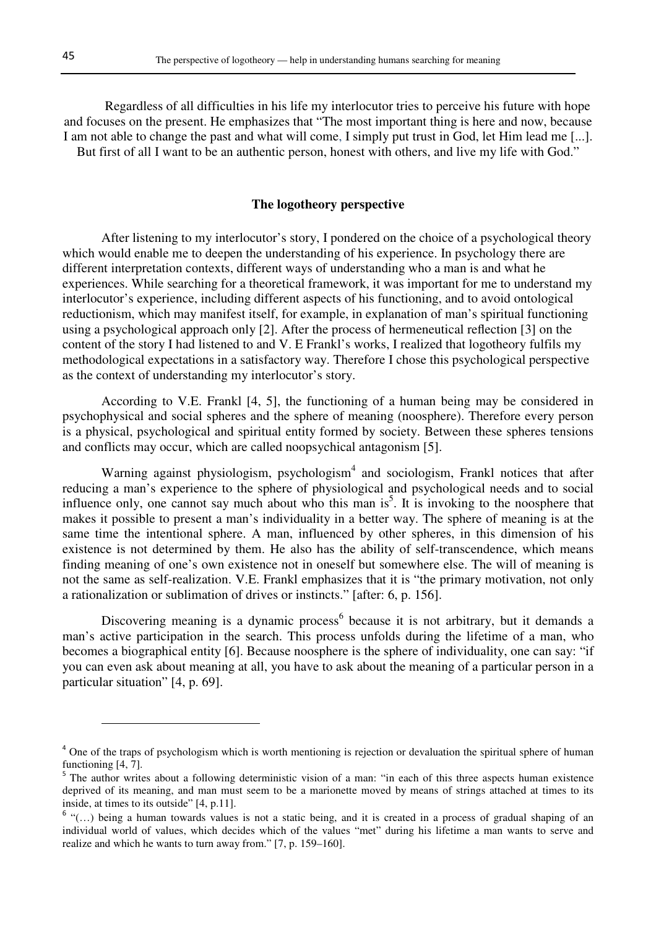Regardless of all difficulties in his life my interlocutor tries to perceive his future with hope and focuses on the present. He emphasizes that "The most important thing is here and now, because I am not able to change the past and what will come, I simply put trust in God, let Him lead me [...]. But first of all I want to be an authentic person, honest with others, and live my life with God."

## **The logotheory perspective**

After listening to my interlocutor's story, I pondered on the choice of a psychological theory which would enable me to deepen the understanding of his experience. In psychology there are different interpretation contexts, different ways of understanding who a man is and what he experiences. While searching for a theoretical framework, it was important for me to understand my interlocutor's experience, including different aspects of his functioning, and to avoid ontological reductionism, which may manifest itself, for example, in explanation of man's spiritual functioning using a psychological approach only [2]. After the process of hermeneutical reflection [3] on the content of the story I had listened to and V. E Frankl's works, I realized that logotheory fulfils my methodological expectations in a satisfactory way. Therefore I chose this psychological perspective as the context of understanding my interlocutor's story.

According to V.E. Frankl [4, 5], the functioning of a human being may be considered in psychophysical and social spheres and the sphere of meaning (noosphere). Therefore every person is a physical, psychological and spiritual entity formed by society. Between these spheres tensions and conflicts may occur, which are called noopsychical antagonism [5].

Warning against physiologism, psychologism<sup>4</sup> and sociologism, Frankl notices that after reducing a man's experience to the sphere of physiological and psychological needs and to social influence only, one cannot say much about who this man  $is^5$ . It is invoking to the noosphere that makes it possible to present a man's individuality in a better way. The sphere of meaning is at the same time the intentional sphere. A man, influenced by other spheres, in this dimension of his existence is not determined by them. He also has the ability of self-transcendence, which means finding meaning of one's own existence not in oneself but somewhere else. The will of meaning is not the same as self-realization. V.E. Frankl emphasizes that it is "the primary motivation, not only a rationalization or sublimation of drives or instincts." [after: 6, p. 156].

Discovering meaning is a dynamic process<sup>6</sup> because it is not arbitrary, but it demands a man's active participation in the search. This process unfolds during the lifetime of a man, who becomes a biographical entity [6]. Because noosphere is the sphere of individuality, one can say: "if you can even ask about meaning at all, you have to ask about the meaning of a particular person in a particular situation" [4, p. 69].

 $\overline{a}$ 

<sup>&</sup>lt;sup>4</sup> One of the traps of psychologism which is worth mentioning is rejection or devaluation the spiritual sphere of human functioning [4, 7].

<sup>&</sup>lt;sup>5</sup> The author writes about a following deterministic vision of a man: "in each of this three aspects human existence deprived of its meaning, and man must seem to be a marionette moved by means of strings attached at times to its inside, at times to its outside" [4, p.11].

 $6$  "(...) being a human towards values is not a static being, and it is created in a process of gradual shaping of an individual world of values, which decides which of the values "met" during his lifetime a man wants to serve and realize and which he wants to turn away from." [7, p. 159–160].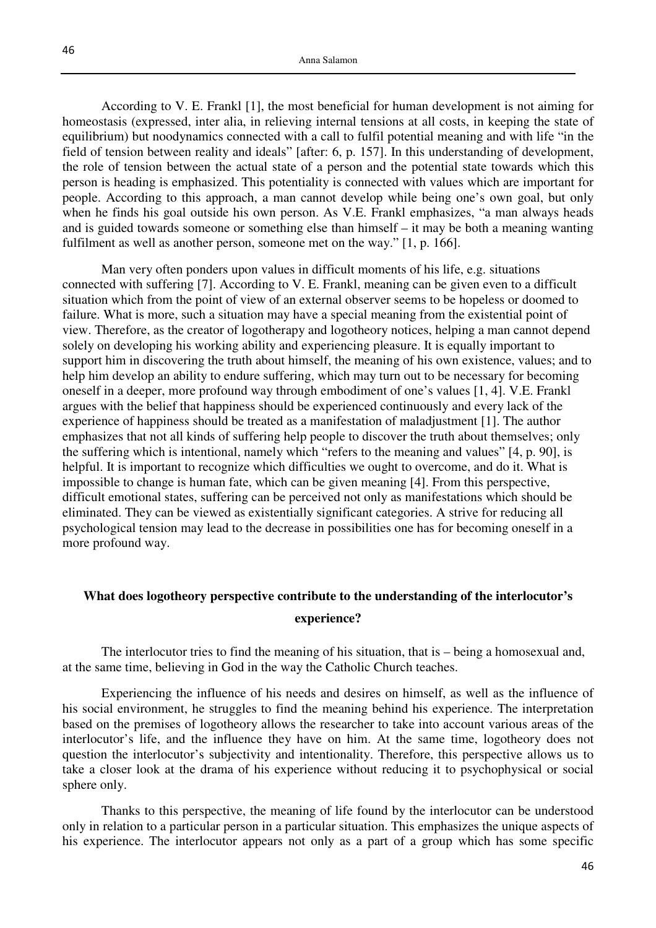According to V. E. Frankl [1], the most beneficial for human development is not aiming for homeostasis (expressed, inter alia, in relieving internal tensions at all costs, in keeping the state of equilibrium) but noodynamics connected with a call to fulfil potential meaning and with life "in the field of tension between reality and ideals" [after: 6, p. 157]. In this understanding of development, the role of tension between the actual state of a person and the potential state towards which this person is heading is emphasized. This potentiality is connected with values which are important for people. According to this approach, a man cannot develop while being one's own goal, but only when he finds his goal outside his own person. As V.E. Frankl emphasizes, "a man always heads and is guided towards someone or something else than himself – it may be both a meaning wanting fulfilment as well as another person, someone met on the way." [1, p. 166].

Man very often ponders upon values in difficult moments of his life, e.g. situations connected with suffering [7]. According to V. E. Frankl, meaning can be given even to a difficult situation which from the point of view of an external observer seems to be hopeless or doomed to failure. What is more, such a situation may have a special meaning from the existential point of view. Therefore, as the creator of logotherapy and logotheory notices, helping a man cannot depend solely on developing his working ability and experiencing pleasure. It is equally important to support him in discovering the truth about himself, the meaning of his own existence, values; and to help him develop an ability to endure suffering, which may turn out to be necessary for becoming oneself in a deeper, more profound way through embodiment of one's values [1, 4]. V.E. Frankl argues with the belief that happiness should be experienced continuously and every lack of the experience of happiness should be treated as a manifestation of maladjustment [1]. The author emphasizes that not all kinds of suffering help people to discover the truth about themselves; only the suffering which is intentional, namely which "refers to the meaning and values" [4, p. 90], is helpful. It is important to recognize which difficulties we ought to overcome, and do it. What is impossible to change is human fate, which can be given meaning [4]. From this perspective, difficult emotional states, suffering can be perceived not only as manifestations which should be eliminated. They can be viewed as existentially significant categories. A strive for reducing all psychological tension may lead to the decrease in possibilities one has for becoming oneself in a more profound way.

# **What does logotheory perspective contribute to the understanding of the interlocutor's**

#### **experience?**

The interlocutor tries to find the meaning of his situation, that is – being a homosexual and, at the same time, believing in God in the way the Catholic Church teaches.

Experiencing the influence of his needs and desires on himself, as well as the influence of his social environment, he struggles to find the meaning behind his experience. The interpretation based on the premises of logotheory allows the researcher to take into account various areas of the interlocutor's life, and the influence they have on him. At the same time, logotheory does not question the interlocutor's subjectivity and intentionality. Therefore, this perspective allows us to take a closer look at the drama of his experience without reducing it to psychophysical or social sphere only.

Thanks to this perspective, the meaning of life found by the interlocutor can be understood only in relation to a particular person in a particular situation. This emphasizes the unique aspects of his experience. The interlocutor appears not only as a part of a group which has some specific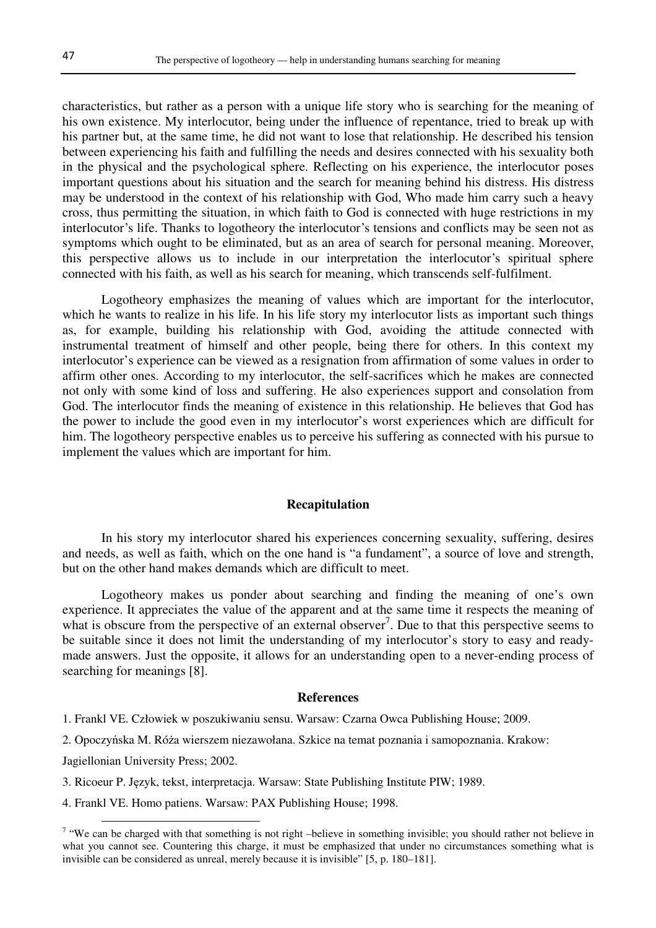characteristics, but rather as a person with a unique life story who is searching for the meaning of his own existence. My interlocutor, being under the influence of repentance, tried to break up with his partner but, at the same time, he did not want to lose that relationship. He described his tension between experiencing his faith and fulfilling the needs and desires connected with his sexuality both in the physical and the psychological sphere. Reflecting on his experience, the interlocutor poses important questions about his situation and the search for meaning behind his distress. His distress may be understood in the context of his relationship with God, Who made him carry such a heavy cross, thus permitting the situation, in which faith to God is connected with huge restrictions in my interlocutor's life. Thanks to logotheory the interlocutor's tensions and conflicts may be seen not as symptoms which ought to be eliminated, but as an area of search for personal meaning. Moreover, this perspective allows us to include in our interpretation the interlocutor's spiritual sphere connected with his faith, as well as his search for meaning, which transcends self-fulfilment.

Logotheory emphasizes the meaning of values which are important for the interlocutor, which he wants to realize in his life. In his life story my interlocutor lists as important such things as, for example, building his relationship with God, avoiding the attitude connected with instrumental treatment of himself and other people, being there for others. In this context my interlocutor's experience can be viewed as a resignation from affirmation of some values in order to affirm other ones. According to my interlocutor, the self-sacrifices which he makes are connected not only with some kind of loss and suffering. He also experiences support and consolation from God. The interlocutor finds the meaning of existence in this relationship. He believes that God has the power to include the good even in my interlocutor's worst experiences which are difficult for him. The logotheory perspective enables us to perceive his suffering as connected with his pursue to implement the values which are important for him.

#### **Recapitulation**

In his story my interlocutor shared his experiences concerning sexuality, suffering, desires and needs, as well as faith, which on the one hand is "a fundament", a source of love and strength, but on the other hand makes demands which are difficult to meet.

Logotheory makes us ponder about searching and finding the meaning of one's own experience. It appreciates the value of the apparent and at the same time it respects the meaning of what is obscure from the perspective of an external observer<sup>7</sup>. Due to that this perspective seems to be suitable since it does not limit the understanding of my interlocutor's story to easy and readymade answers. Just the opposite, it allows for an understanding open to a never-ending process of searching for meanings [8].

#### **References**

1. Frankl VE. Człowiek w poszukiwaniu sensu. Warsaw: Czarna Owca Publishing House; 2009.

2. Opoczyńska M. Róża wierszem niezawołana. Szkice na temat poznania i samopoznania. Krakow:

Jagiellonian University Press; 2002.

 $\overline{a}$ 

3. Ricoeur P. Język, tekst, interpretacja. Warsaw: State Publishing Institute PIW; 1989.

4. Frankl VE. Homo patiens. Warsaw: PAX Publishing House; 1998.

 $7$  "We can be charged with that something is not right –believe in something invisible; you should rather not believe in what you cannot see. Countering this charge, it must be emphasized that under no circumstances something what is invisible can be considered as unreal, merely because it is invisible" [5, p. 180–181].